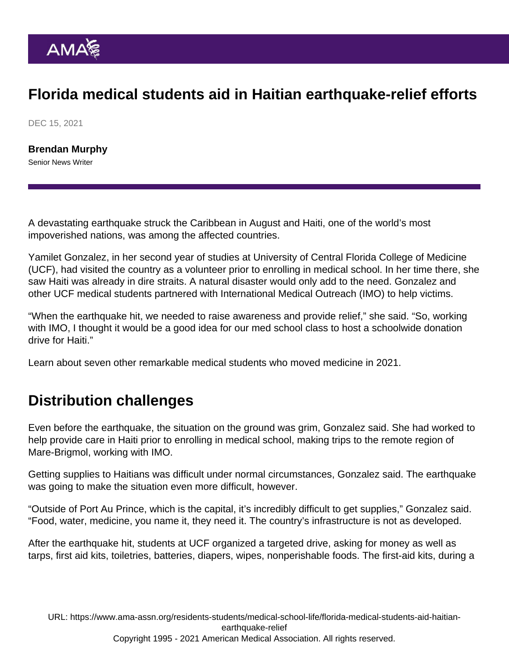## Florida medical students aid in Haitian earthquake-relief efforts

DEC 15, 2021

[Brendan Murphy](https://www.ama-assn.org/news-leadership-viewpoints/authors-news-leadership-viewpoints/brendan-murphy) Senior News Writer

A devastating earthquake struck the Caribbean in August and Haiti, one of the world's most impoverished nations, was among the affected countries.

Yamilet Gonzalez, in her second year of studies at University of Central Florida College of Medicine (UCF), had visited the country as a volunteer prior to enrolling in medical school. In her time there, she saw Haiti was already in dire straits. A natural disaster would only add to the need. Gonzalez and other UCF medical students partnered with International Medical Outreach (IMO) to help victims.

"When the earthquake hit, we needed to raise awareness and provide relief," she said. "So, working with IMO, I thought it would be a good idea for our med school class to host a schoolwide donation drive for Haiti."

Learn about [seven other remarkable medical students who moved medicine in 2021.](https://www.ama-assn.org/residents-students/medical-school-life/discover-7-remarkable-medical-students-who-moved-medicine)

## Distribution challenges

Even before the earthquake, the situation on the ground was grim, Gonzalez said. She had worked to help provide care in Haiti prior to enrolling in medical school, making trips to the remote region of Mare-Brigmol, working with IMO.

Getting supplies to Haitians was difficult under normal circumstances, Gonzalez said. The earthquake was going to make the situation even more difficult, however.

"Outside of Port Au Prince, which is the capital, it's incredibly difficult to get supplies," Gonzalez said. "Food, water, medicine, you name it, they need it. The country's infrastructure is not as developed.

After the earthquake hit, students at UCF organized a targeted drive, asking for money as well as tarps, first aid kits, toiletries, batteries, diapers, wipes, nonperishable foods. The first-aid kits, during a

URL: [https://www.ama-assn.org/residents-students/medical-school-life/florida-medical-students-aid-haitian](https://www.ama-assn.org/residents-students/medical-school-life/florida-medical-students-aid-haitian-earthquake-relief)[earthquake-relief](https://www.ama-assn.org/residents-students/medical-school-life/florida-medical-students-aid-haitian-earthquake-relief) Copyright 1995 - 2021 American Medical Association. All rights reserved.